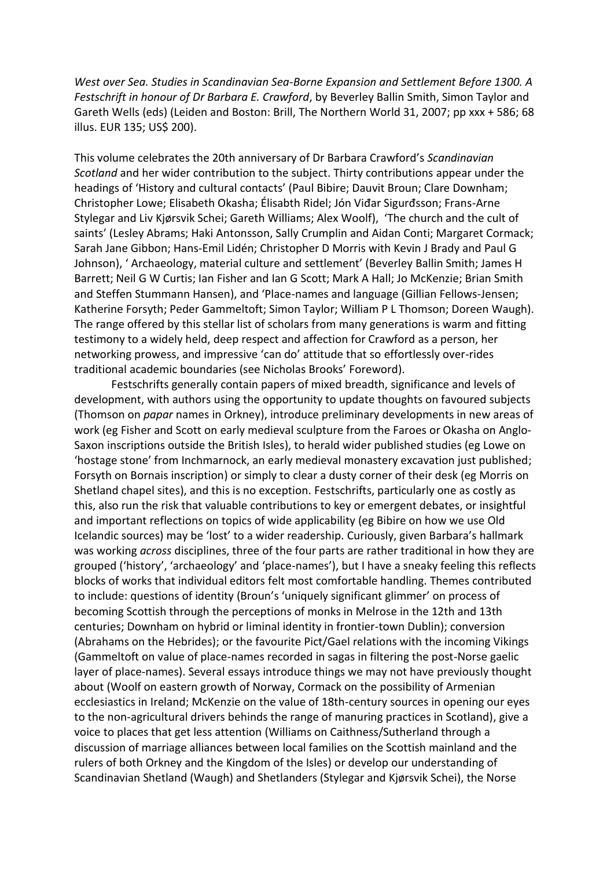*West over Sea. Studies in Scandinavian Sea-Borne Expansion and Settlement Before 1300. A Festschrift in honour of Dr Barbara E. Crawford*, by Beverley Ballin Smith, Simon Taylor and Gareth Wells (eds) (Leiden and Boston: Brill, The Northern World 31, 2007; pp xxx + 586; 68 illus. EUR 135; US\$ 200).

This volume celebrates the 20th anniversary of Dr Barbara Crawford's *Scandinavian Scotland* and her wider contribution to the subject. Thirty contributions appear under the headings of 'History and cultural contacts' (Paul Bibire; Dauvit Broun; Clare Downham; Christopher Lowe; Elisabeth Okasha; Élisabth Ridel; Jón Viđar Sigurđsson; Frans-Arne Stylegar and Liv Kjørsvik Schei; Gareth Williams; Alex Woolf), 'The church and the cult of saints' (Lesley Abrams; Haki Antonsson, Sally Crumplin and Aidan Conti; Margaret Cormack; Sarah Jane Gibbon; Hans-Emil Lidén; Christopher D Morris with Kevin J Brady and Paul G Johnson), ' Archaeology, material culture and settlement' (Beverley Ballin Smith; James H Barrett; Neil G W Curtis; Ian Fisher and Ian G Scott; Mark A Hall; Jo McKenzie; Brian Smith and Steffen Stummann Hansen), and 'Place-names and language (Gillian Fellows-Jensen; Katherine Forsyth; Peder Gammeltoft; Simon Taylor; William P L Thomson; Doreen Waugh). The range offered by this stellar list of scholars from many generations is warm and fitting testimony to a widely held, deep respect and affection for Crawford as a person, her networking prowess, and impressive 'can do' attitude that so effortlessly over-rides traditional academic boundaries (see Nicholas Brooks' Foreword).

Festschrifts generally contain papers of mixed breadth, significance and levels of development, with authors using the opportunity to update thoughts on favoured subjects (Thomson on *papar* names in Orkney), introduce preliminary developments in new areas of work (eg Fisher and Scott on early medieval sculpture from the Faroes or Okasha on Anglo-Saxon inscriptions outside the British Isles), to herald wider published studies (eg Lowe on 'hostage stone' from Inchmarnock, an early medieval monastery excavation just published; Forsyth on Bornais inscription) or simply to clear a dusty corner of their desk (eg Morris on Shetland chapel sites), and this is no exception. Festschrifts, particularly one as costly as this, also run the risk that valuable contributions to key or emergent debates, or insightful and important reflections on topics of wide applicability (eg Bibire on how we use Old Icelandic sources) may be 'lost' to a wider readership. Curiously, given Barbara's hallmark was working *across* disciplines, three of the four parts are rather traditional in how they are grouped ('history', 'archaeology' and 'place-names'), but I have a sneaky feeling this reflects blocks of works that individual editors felt most comfortable handling. Themes contributed to include: questions of identity (Broun's 'uniquely significant glimmer' on process of becoming Scottish through the perceptions of monks in Melrose in the 12th and 13th centuries; Downham on hybrid or liminal identity in frontier-town Dublin); conversion (Abrahams on the Hebrides); or the favourite Pict/Gael relations with the incoming Vikings (Gammeltoft on value of place-names recorded in sagas in filtering the post-Norse gaelic layer of place-names). Several essays introduce things we may not have previously thought about (Woolf on eastern growth of Norway, Cormack on the possibility of Armenian ecclesiastics in Ireland; McKenzie on the value of 18th-century sources in opening our eyes to the non-agricultural drivers behinds the range of manuring practices in Scotland), give a voice to places that get less attention (Williams on Caithness/Sutherland through a discussion of marriage alliances between local families on the Scottish mainland and the rulers of both Orkney and the Kingdom of the Isles) or develop our understanding of Scandinavian Shetland (Waugh) and Shetlanders (Stylegar and Kjørsvik Schei), the Norse